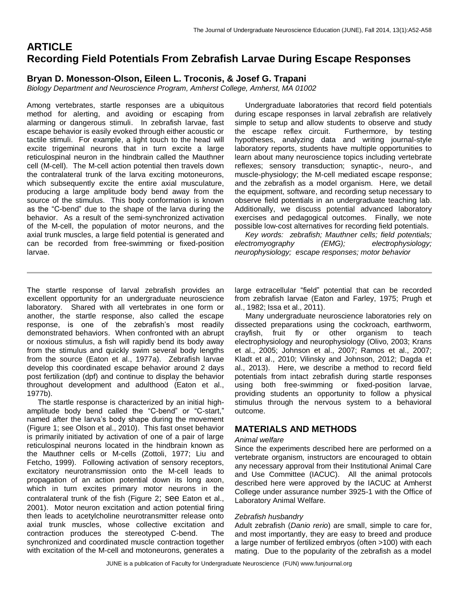# **ARTICLE Recording Field Potentials From Zebrafish Larvae During Escape Responses**

## **Bryan D. Monesson-Olson, Eileen L. Troconis, & Josef G. Trapani**

*Biology Department and Neuroscience Program, Amherst College, Amherst, MA 01002*

Among vertebrates, startle responses are a ubiquitous method for alerting, and avoiding or escaping from alarming or dangerous stimuli. In zebrafish larvae, fast escape behavior is easily evoked through either acoustic or tactile stimuli. For example, a light touch to the head will excite trigeminal neurons that in turn excite a large reticulospinal neuron in the hindbrain called the Mauthner cell (M-cell). The M-cell action potential then travels down the contralateral trunk of the larva exciting motoneurons, which subsequently excite the entire axial musculature, producing a large amplitude body bend away from the source of the stimulus. This body conformation is known as the "C-bend" due to the shape of the larva during the behavior. As a result of the semi-synchronized activation of the M-cell, the population of motor neurons, and the axial trunk muscles, a large field potential is generated and can be recorded from free-swimming or fixed-position larvae.

 Undergraduate laboratories that record field potentials during escape responses in larval zebrafish are relatively simple to setup and allow students to observe and study the escape reflex circuit. Furthermore, by testing hypotheses, analyzing data and writing journal-style laboratory reports, students have multiple opportunities to learn about many neuroscience topics including vertebrate reflexes; sensory transduction; synaptic-, neuro-, and muscle-physiology; the M-cell mediated escape response; and the zebrafish as a model organism. Here, we detail the equipment, software, and recording setup necessary to observe field potentials in an undergraduate teaching lab. Additionally, we discuss potential advanced laboratory exercises and pedagogical outcomes. Finally, we note possible low-cost alternatives for recording field potentials.

 *Key words: zebrafish; Mauthner cells; field potentials; electromyography (EMG); electrophysiology; neurophysiology; escape responses; motor behavior*

The startle response of larval zebrafish provides an excellent opportunity for an undergraduate neuroscience laboratory. Shared with all vertebrates in one form or another, the startle response, also called the escape response, is one of the zebrafish's most readily demonstrated behaviors. When confronted with an abrupt or noxious stimulus, a fish will rapidly bend its body away from the stimulus and quickly swim several body lengths from the source (Eaton et al., 1977a). Zebrafish larvae develop this coordinated escape behavior around 2 days post fertilization (dpf) and continue to display the behavior throughout development and adulthood (Eaton et al., 1977b).

The startle response is characterized by an initial highamplitude body bend called the "C-bend" or "C-start," named after the larva's body shape during the movement (Figure 1; see Olson et al., 2010). This fast onset behavior is primarily initiated by activation of one of a pair of large reticulospinal neurons located in the hindbrain known as the Mauthner cells or M-cells (Zottoli, 1977; Liu and Fetcho, 1999). Following activation of sensory receptors, excitatory neurotransmission onto the M-cell leads to propagation of an action potential down its long axon, which in turn excites primary motor neurons in the contralateral trunk of the fish (Figure 2; see Eaton et al., 2001). Motor neuron excitation and action potential firing then leads to acetylcholine neurotransmitter release onto axial trunk muscles, whose collective excitation and contraction produces the stereotyped C-bend. The synchronized and coordinated muscle contraction together with excitation of the M-cell and motoneurons, generates a large extracellular "field" potential that can be recorded from zebrafish larvae (Eaton and Farley, 1975; Prugh et al., 1982; Issa et al., 2011).

Many undergraduate neuroscience laboratories rely on dissected preparations using the cockroach, earthworm, crayfish, fruit fly or other organism to teach electrophysiology and neurophysiology (Olivo, 2003; Krans et al., 2005; Johnson et al., 2007; Ramos et al., 2007; Kladt et al., 2010; Vilinsky and Johnson, 2012; Dagda et al., 2013). Here, we describe a method to record field potentials from intact zebrafish during startle responses using both free-swimming or fixed-position larvae, providing students an opportunity to follow a physical stimulus through the nervous system to a behavioral outcome.

## **MATERIALS AND METHODS**

### *Animal welfare*

Since the experiments described here are performed on a vertebrate organism, instructors are encouraged to obtain any necessary approval from their Institutional Animal Care and Use Committee (IACUC). All the animal protocols described here were approved by the IACUC at Amherst College under assurance number 3925-1 with the Office of Laboratory Animal Welfare.

### *Zebrafish husbandry*

Adult zebrafish (*Danio rerio*) are small, simple to care for, and most importantly, they are easy to breed and produce a large number of fertilized embryos (often >100) with each mating. Due to the popularity of the zebrafish as a model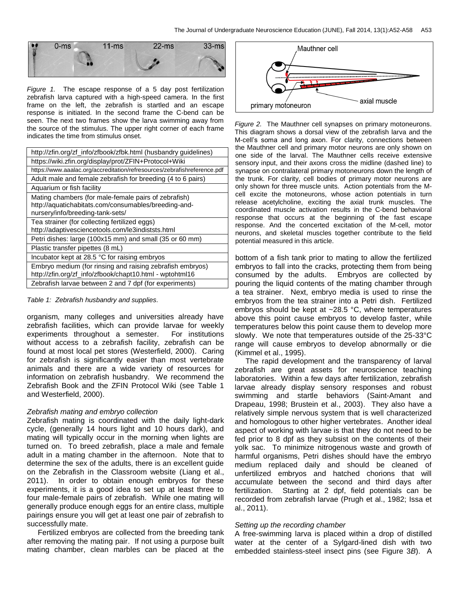

*Figure 1.* The escape response of a 5 day post fertilization zebrafish larva captured with a high-speed camera. In the first frame on the left, the zebrafish is startled and an escape response is initiated. In the second frame the C-bend can be seen. The next two frames show the larva swimming away from the source of the stimulus. The upper right corner of each frame indicates the time from stimulus onset.

| http://zfin.org/zf_info/zfbook/zfbk.html (husbandry guidelines)                                                                                  |
|--------------------------------------------------------------------------------------------------------------------------------------------------|
| https://wiki.zfin.org/display/prot/ZFIN+Protocol+Wiki                                                                                            |
| https://www.aaalac.org/accreditation/refresources/zebrafishreference.pdf                                                                         |
| Adult male and female zebrafish for breeding (4 to 6 pairs)                                                                                      |
| Aquarium or fish facility                                                                                                                        |
| Mating chambers (for male-female pairs of zebrafish)<br>http://aquatichabitats.com/consumables/breeding-and-<br>nursery/info/breeding-tank-sets/ |
| Tea strainer (for collecting fertilized eggs)<br>http://adaptivesciencetools.com/le3indiststs.html                                               |
| Petri dishes: large (100x15 mm) and small (35 or 60 mm)                                                                                          |
| Plastic transfer pipettes (8 mL)                                                                                                                 |
| Incubator kept at 28.5 °C for raising embryos                                                                                                    |
| Embryo medium (for rinsing and raising zebrafish embryos)<br>http://zfin.org/zf_info/zfbook/chapt10.html - wptohtml16                            |
| Zebrafish larvae between 2 and 7 dpf (for experiments)                                                                                           |

#### *Table 1: Zebrafish husbandry and supplies.*

organism, many colleges and universities already have zebrafish facilities, which can provide larvae for weekly experiments throughout a semester. For institutions without access to a zebrafish facility, zebrafish can be found at most local pet stores (Westerfield, 2000). Caring for zebrafish is significantly easier than most vertebrate animals and there are a wide variety of resources for information on zebrafish husbandry. We recommend the Zebrafish Book and the ZFIN Protocol Wiki (see Table 1 and Westerfield, 2000).

### *Zebrafish mating and embryo collection*

Zebrafish mating is coordinated with the daily light-dark cycle, (generally 14 hours light and 10 hours dark), and mating will typically occur in the morning when lights are turned on. To breed zebrafish, place a male and female adult in a mating chamber in the afternoon. Note that to determine the sex of the adults, there is an excellent guide on the Zebrafish in the Classroom website (Liang et al., 2011). In order to obtain enough embryos for these experiments, it is a good idea to set up at least three to four male-female pairs of zebrafish. While one mating will generally produce enough eggs for an entire class, multiple pairings ensure you will get at least one pair of zebrafish to successfully mate.

Fertilized embryos are collected from the breeding tank after removing the mating pair. If not using a purpose built mating chamber, clean marbles can be placed at the



*Figure 2.* The Mauthner cell synapses on primary motoneurons. This diagram shows a dorsal view of the zebrafish larva and the M-cell's soma and long axon. For clarity, connections between the Mauthner cell and primary motor neurons are only shown on one side of the larval. The Mauthner cells receive extensive sensory input, and their axons cross the midline (dashed line) to synapse on contralateral primary motoneurons down the length of the trunk. For clarity, cell bodies of primary motor neurons are only shown for three muscle units. Action potentials from the Mcell excite the motoneurons, whose action potentials in turn release acetylcholine, exciting the axial trunk muscles. The coordinated muscle activation results in the C-bend behavioral response that occurs at the beginning of the fast escape response. And the concerted excitation of the M-cell, motor neurons, and skeletal muscles together contribute to the field potential measured in this article.

bottom of a fish tank prior to mating to allow the fertilized embryos to fall into the cracks, protecting them from being consumed by the adults. Embryos are collected by pouring the liquid contents of the mating chamber through a tea strainer. Next, embryo media is used to rinse the embryos from the tea strainer into a Petri dish. Fertilized embryos should be kept at ~28.5 °C, where temperatures above this point cause embryos to develop faster, while temperatures below this point cause them to develop more slowly. We note that temperatures outside of the 25-33°C range will cause embryos to develop abnormally or die (Kimmel et al., 1995).

The rapid development and the transparency of larval zebrafish are great assets for neuroscience teaching laboratories. Within a few days after fertilization, zebrafish larvae already display sensory responses and robust swimming and startle behaviors (Saint-Amant and Drapeau, 1998; Brustein et al., 2003). They also have a relatively simple nervous system that is well characterized and homologous to other higher vertebrates. Another ideal aspect of working with larvae is that they do not need to be fed prior to 8 dpf as they subsist on the contents of their yolk sac. To minimize nitrogenous waste and growth of harmful organisms, Petri dishes should have the embryo medium replaced daily and should be cleaned of unfertilized embryos and hatched chorions that will accumulate between the second and third days after fertilization. Starting at 2 dpf, field potentials can be recorded from zebrafish larvae (Prugh et al., 1982; Issa et al., 2011).

#### *Setting up the recording chamber*

A free-swimming larva is placed within a drop of distilled water at the center of a Sylgard-lined dish with two embedded stainless-steel insect pins (see Figure 3*B*). A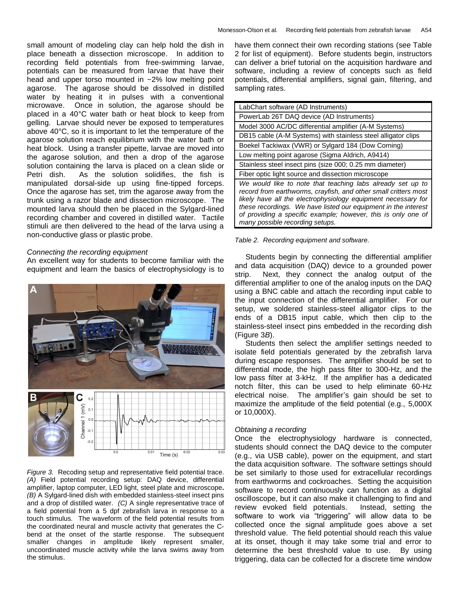small amount of modeling clay can help hold the dish in place beneath a dissection microscope. In addition to recording field potentials from free-swimming larvae, potentials can be measured from larvae that have their head and upper torso mounted in ~2% low melting point agarose. The agarose should be dissolved in distilled water by heating it in pulses with a conventional microwave. Once in solution, the agarose should be placed in a 40°C water bath or heat block to keep from gelling. Larvae should never be exposed to temperatures above 40°C, so it is important to let the temperature of the agarose solution reach equilibrium with the water bath or heat block. Using a transfer pipette, larvae are moved into the agarose solution, and then a drop of the agarose solution containing the larva is placed on a clean slide or Petri dish. As the solution solidifies, the fish is manipulated dorsal-side up using fine-tipped forceps. Once the agarose has set, trim the agarose away from the trunk using a razor blade and dissection microscope. The mounted larva should then be placed in the Sylgard-lined recording chamber and covered in distilled water. Tactile stimuli are then delivered to the head of the larva using a non-conductive glass or plastic probe.

#### *Connecting the recording equipment*

An excellent way for students to become familiar with the equipment and learn the basics of electrophysiology is to



*Figure 3.* Recoding setup and representative field potential trace. *(A)* Field potential recording setup: DAQ device, differential amplifier, laptop computer, LED light, steel plate and microscope**.**  *(B)* A Sylgard-lined dish with embedded stainless-steel insect pins and a drop of distilled water. *(C)* A single representative trace of a field potential from a 5 dpf zebrafish larva in response to a touch stimulus. The waveform of the field potential results from the coordinated neural and muscle activity that generates the Cbend at the onset of the startle response. The subsequent smaller changes in amplitude likely represent smaller, uncoordinated muscle activity while the larva swims away from the stimulus.

have them connect their own recording stations (see Table 2 for list of equipment). Before students begin, instructors can deliver a brief tutorial on the acquisition hardware and software, including a review of concepts such as field potentials, differential amplifiers, signal gain, filtering, and sampling rates.

| LabChart software (AD Instruments)                                                                                                                                                                                                                                                                                                                                   |
|----------------------------------------------------------------------------------------------------------------------------------------------------------------------------------------------------------------------------------------------------------------------------------------------------------------------------------------------------------------------|
| PowerLab 26T DAQ device (AD Instruments)                                                                                                                                                                                                                                                                                                                             |
| Model 3000 AC/DC differential amplifier (A-M Systems)                                                                                                                                                                                                                                                                                                                |
| DB15 cable (A-M Systems) with stainless steel alligator clips                                                                                                                                                                                                                                                                                                        |
| Boekel Tackiwax (VWR) or Sylgard 184 (Dow Corning)                                                                                                                                                                                                                                                                                                                   |
| Low melting point agarose (Sigma Aldrich, A9414)                                                                                                                                                                                                                                                                                                                     |
| Stainless steel insect pins (size 000; 0.25 mm diameter)                                                                                                                                                                                                                                                                                                             |
| Fiber optic light source and dissection microscope                                                                                                                                                                                                                                                                                                                   |
| We would like to note that teaching labs already set up to<br>record from earthworms, crayfish, and other small critters most<br>likely have all the electrophysiology equipment necessary for<br>these recordings. We have listed our equipment in the interest<br>of providing a specific example; however, this is only one of<br>many possible recording setups. |



Students begin by connecting the differential amplifier and data acquisition (DAQ) device to a grounded power strip. Next, they connect the analog output of the differential amplifier to one of the analog inputs on the DAQ using a BNC cable and attach the recording input cable to the input connection of the differential amplifier. For our setup, we soldered stainless-steel alligator clips to the ends of a DB15 input cable, which then clip to the stainless-steel insect pins embedded in the recording dish (Figure 3*B*).

Students then select the amplifier settings needed to isolate field potentials generated by the zebrafish larva during escape responses. The amplifier should be set to differential mode, the high pass filter to 300-Hz, and the low pass filter at 3-kHz. If the amplifier has a dedicated notch filter, this can be used to help eliminate 60-Hz electrical noise. The amplifier's gain should be set to maximize the amplitude of the field potential (e.g., 5,000X or 10,000X).

#### *Obtaining a recording*

Once the electrophysiology hardware is connected, students should connect the DAQ device to the computer (e.g., via USB cable), power on the equipment, and start the data acquisition software. The software settings should be set similarly to those used for extracellular recordings from earthworms and cockroaches. Setting the acquisition software to record continuously can function as a digital oscilloscope, but it can also make it challenging to find and review evoked field potentials. Instead, setting the software to work via "triggering" will allow data to be collected once the signal amplitude goes above a set threshold value. The field potential should reach this value at its onset, though it may take some trial and error to determine the best threshold value to use. By using triggering, data can be collected for a discrete time window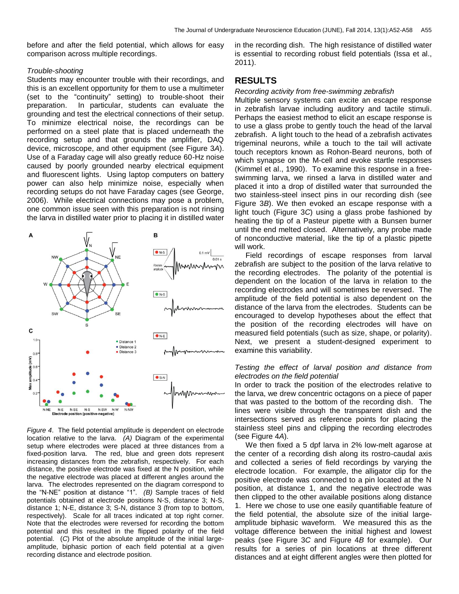before and after the field potential, which allows for easy comparison across multiple recordings.

#### *Trouble-shooting*

Students may encounter trouble with their recordings, and this is an excellent opportunity for them to use a multimeter (set to the "continuity" setting) to trouble-shoot their preparation. In particular, students can evaluate the grounding and test the electrical connections of their setup. To minimize electrical noise, the recordings can be performed on a steel plate that is placed underneath the recording setup and that grounds the amplifier, DAQ device, microscope, and other equipment (see Figure 3*A*). Use of a Faraday cage will also greatly reduce 60-Hz noise caused by poorly grounded nearby electrical equipment and fluorescent lights. Using laptop computers on battery power can also help minimize noise, especially when recording setups do not have Faraday cages (see George, 2006). While electrical connections may pose a problem, one common issue seen with this preparation is not rinsing the larva in distilled water prior to placing it in distilled water



*Figure 4*. The field potential amplitude is dependent on electrode location relative to the larva. *(A)* Diagram of the experimental setup where electrodes were placed at three distances from a fixed-position larva. The red, blue and green dots represent increasing distances from the zebrafish, respectively. For each distance, the positive electrode was fixed at the N position, while the negative electrode was placed at different angles around the larva. The electrodes represented on the diagram correspond to the "N-NE" position at distance "1". *(B)* Sample traces of field potentials obtained at electrode positions N-S, distance 3; N-S, distance 1; N-E, distance 3; S-N, distance 3 (from top to bottom, respectively). Scale for all traces indicated at top right corner. Note that the electrodes were reversed for recording the bottom potential and this resulted in the flipped polarity of the field potential. (*C*) Plot of the absolute amplitude of the initial largeamplitude, biphasic portion of each field potential at a given recording distance and electrode position.

in the recording dish. The high resistance of distilled water is essential to recording robust field potentials (Issa et al., 2011).

## **RESULTS**

*Recording activity from free-swimming zebrafish*

Multiple sensory systems can excite an escape response in zebrafish larvae including auditory and tactile stimuli. Perhaps the easiest method to elicit an escape response is to use a glass probe to gently touch the head of the larval zebrafish. A light touch to the head of a zebrafish activates trigeminal neurons, while a touch to the tail will activate touch receptors known as Rohon-Beard neurons, both of which synapse on the M-cell and evoke startle responses (Kimmel et al., 1990). To examine this response in a freeswimming larva, we rinsed a larva in distilled water and placed it into a drop of distilled water that surrounded the two stainless-steel insect pins in our recording dish (see Figure 3*B*). We then evoked an escape response with a light touch (Figure 3*C*) using a glass probe fashioned by heating the tip of a Pasteur pipette with a Bunsen burner until the end melted closed. Alternatively, any probe made of nonconductive material, like the tip of a plastic pipette will work.

Field recordings of escape responses from larval zebrafish are subject to the position of the larva relative to the recording electrodes. The polarity of the potential is dependent on the location of the larva in relation to the recording electrodes and will sometimes be reversed. The amplitude of the field potential is also dependent on the distance of the larva from the electrodes. Students can be encouraged to develop hypotheses about the effect that the position of the recording electrodes will have on measured field potentials (such as size, shape, or polarity). Next, we present a student-designed experiment to examine this variability.

#### *Testing the effect of larval position and distance from electrodes on the field potential*

In order to track the position of the electrodes relative to the larva, we drew concentric octagons on a piece of paper that was pasted to the bottom of the recording dish. The lines were visible through the transparent dish and the intersections served as reference points for placing the stainless steel pins and clipping the recording electrodes (see Figure 4*A*).

We then fixed a 5 dpf larva in 2% low-melt agarose at the center of a recording dish along its rostro-caudal axis and collected a series of field recordings by varying the electrode location. For example, the alligator clip for the positive electrode was connected to a pin located at the N position, at distance 1, and the negative electrode was then clipped to the other available positions along distance 1. Here we chose to use one easily quantifiable feature of the field potential, the absolute size of the initial largeamplitude biphasic waveform. We measured this as the voltage difference between the initial highest and lowest peaks (see Figure 3*C* and Figure 4*B* for example). Our results for a series of pin locations at three different distances and at eight different angles were then plotted for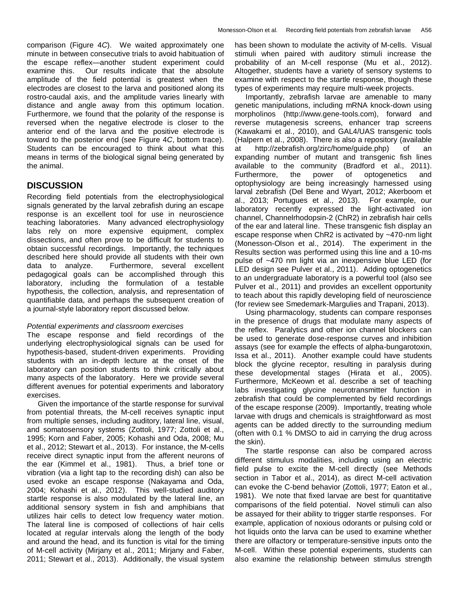comparison (Figure 4*C*). We waited approximately one minute in between consecutive trials to avoid habituation of the escape reflex—another student experiment could examine this. Our results indicate that the absolute amplitude of the field potential is greatest when the electrodes are closest to the larva and positioned along its rostro-caudal axis, and the amplitude varies linearly with distance and angle away from this optimum location. Furthermore, we found that the polarity of the response is reversed when the negative electrode is closer to the anterior end of the larva and the positive electrode is toward to the posterior end (see Figure 4*C*, bottom trace). Students can be encouraged to think about what this means in terms of the biological signal being generated by the animal.

## **DISCUSSION**

Recording field potentials from the electrophysiological signals generated by the larval zebrafish during an escape response is an excellent tool for use in neuroscience teaching laboratories. Many advanced electrophysiology labs rely on more expensive equipment, complex dissections, and often prove to be difficult for students to obtain successful recordings. Importantly, the techniques described here should provide all students with their own data to analyze. Furthermore, several excellent pedagogical goals can be accomplished through this laboratory, including the formulation of a testable hypothesis, the collection, analysis, and representation of quantifiable data, and perhaps the subsequent creation of a journal-style laboratory report discussed below.

### *Potential experiments and classroom exercises*

The escape response and field recordings of the underlying electrophysiological signals can be used for hypothesis-based, student-driven experiments. Providing students with an in-depth lecture at the onset of the laboratory can position students to think critically about many aspects of the laboratory. Here we provide several different avenues for potential experiments and laboratory exercises.

Given the importance of the startle response for survival from potential threats, the M-cell receives synaptic input from multiple senses, including auditory, lateral line, visual, and somatosensory systems (Zottoli, 1977; Zottoli et al., 1995; Korn and Faber, 2005; Kohashi and Oda, 2008; Mu et al., 2012; Stewart et al., 2013). For instance, the M-cells receive direct synaptic input from the afferent neurons of the ear (Kimmel et al., 1981). Thus, a brief tone or vibration (via a light tap to the recording dish) can also be used evoke an escape response (Nakayama and Oda, 2004; Kohashi et al., 2012). This well-studied auditory startle response is also modulated by the lateral line, an additional sensory system in fish and amphibians that utilizes hair cells to detect low frequency water motion. The lateral line is composed of collections of hair cells located at regular intervals along the length of the body and around the head, and its function is vital for the timing of M-cell activity (Mirjany et al., 2011; Mirjany and Faber, 2011; Stewart et al., 2013). Additionally, the visual system

has been shown to modulate the activity of M-cells. Visual stimuli when paired with auditory stimuli increase the probability of an M-cell response (Mu et al., 2012). Altogether, students have a variety of sensory systems to examine with respect to the startle response, though these types of experiments may require multi-week projects.

Importantly, zebrafish larvae are amenable to many genetic manipulations, including mRNA knock-down using morpholinos (http://www.gene-tools.com), forward and reverse mutagenesis screens, enhancer trap screens (Kawakami et al., 2010), and GAL4/UAS transgenic tools (Halpern et al., 2008). There is also a repository (available at http://zebrafish.org/zirc/home/guide.php) of an expanding number of mutant and transgenic fish lines available to the community (Bradford et al., 2011). Furthermore, the power of optogenetics and optophysiology are being increasingly harnessed using larval zebrafish (Del Bene and Wyart, 2012; Akerboom et al., 2013; Portugues et al., 2013). For example, our laboratory recently expressed the light-activated ion channel, Channelrhodopsin-2 (ChR2) in zebrafish hair cells of the ear and lateral line. These transgenic fish display an escape response when ChR2 is activated by ~470-nm light (Monesson-Olson et al., 2014). The experiment in the Results section was performed using this line and a 10-ms pulse of ~470 nm light via an inexpensive blue LED (for LED design see Pulver et al., 2011). Adding optogenetics to an undergraduate laboratory is a powerful tool (also see Pulver et al., 2011) and provides an excellent opportunity to teach about this rapidly developing field of neuroscience (for review see Smedemark-Margulies and Trapani, 2013).

Using pharmacology, students can compare responses in the presence of drugs that modulate many aspects of the reflex. Paralytics and other ion channel blockers can be used to generate dose-response curves and inhibition assays (see for example the effects of alpha-bungarotoxin, Issa et al., 2011). Another example could have students block the glycine receptor, resulting in paralysis during these developmental stages (Hirata et al., 2005). Furthermore, McKeown et al. describe a set of teaching labs investigating glycine neurotransmitter function in zebrafish that could be complemented by field recordings of the escape response (2009). Importantly, treating whole larvae with drugs and chemicals is straightforward as most agents can be added directly to the surrounding medium (often with 0.1 % DMSO to aid in carrying the drug across the skin).

The startle response can also be compared across different stimulus modalities, including using an electric field pulse to excite the M-cell directly (see Methods section in Tabor et al., 2014), as direct M-cell activation can evoke the C-bend behavior (Zottoli, 1977; Eaton et al., 1981). We note that fixed larvae are best for quantitative comparisons of the field potential. Novel stimuli can also be assayed for their ability to trigger startle responses. For example, application of noxious odorants or pulsing cold or hot liquids onto the larva can be used to examine whether there are olfactory or temperature-sensitive inputs onto the M-cell. Within these potential experiments, students can also examine the relationship between stimulus strength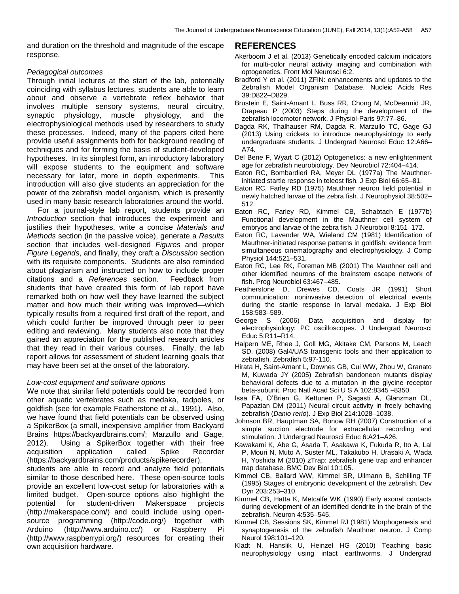and duration on the threshold and magnitude of the escape response.

## *Pedagogical outcomes*

Through initial lectures at the start of the lab, potentially coinciding with syllabus lectures, students are able to learn about and observe a vertebrate reflex behavior that involves multiple sensory systems, neural circuitry, synaptic physiology, muscle physiology, and the electrophysiological methods used by researchers to study these processes. Indeed, many of the papers cited here provide useful assignments both for background reading of techniques and for forming the basis of student-developed hypotheses. In its simplest form, an introductory laboratory will expose students to the equipment and software necessary for later, more in depth experiments. This introduction will also give students an appreciation for the power of the zebrafish model organism, which is presently used in many basic research laboratories around the world.

For a journal-style lab report, students provide an *Introduction* section that introduces the experiment and justifies their hypotheses, write a concise *Materials and Methods* section (in the passive voice), generate a *Results* section that includes well-designed *Figures* and proper *Figure Legends*, and finally, they craft a *Discussion* section with its requisite components. Students are also reminded about plagiarism and instructed on how to include proper citations and a *References* section. Feedback from students that have created this form of lab report have remarked both on how well they have learned the subject matter and how much their writing was improved—which typically results from a required first draft of the report, and which could further be improved through peer to peer editing and reviewing. Many students also note that they gained an appreciation for the published research articles that they read in their various courses. Finally, the lab report allows for assessment of student learning goals that may have been set at the onset of the laboratory.

## *Low-cost equipment and software options*

We note that similar field potentials could be recorded from other aquatic vertebrates such as medaka, tadpoles, or goldfish (see for example Featherstone et al., 1991). Also, we have found that field potentials can be observed using a SpikerBox (a small, inexpensive amplifier from Backyard Brains https://backyardbrains.com/; Marzullo and Gage, 2012). Using a SpikerBox together with their free acquisition application called Spike Recorder (https://backyardbrains.com/products/spikerecorder),

students are able to record and analyze field potentials similar to those described here. These open-source tools provide an excellent low-cost setup for laboratories with a limited budget. Open-source options also highlight the potential for student-driven Makerspace projects (http://makerspace.com/) and could include using opensource programming (http://code.org/) together with Arduino (http://www.arduino.cc/) or Raspberry Pi (http://www.raspberrypi.org/) resources for creating their own acquisition hardware.

## **REFERENCES**

- Akerboom J et al. (2013) Genetically encoded calcium indicators for multi-color neural activity imaging and combination with optogenetics. Front Mol Neurosci 6:2.
- Bradford Y et al. (2011) ZFIN: enhancements and updates to the Zebrafish Model Organism Database. Nucleic Acids Res 39:D822–D829.
- Brustein E, Saint-Amant L, Buss RR, Chong M, McDearmid JR, Drapeau P (2003) Steps during the development of the zebrafish locomotor network. J Physiol-Paris 97:77–86.
- Dagda RK, Thalhauser RM, Dagda R, Marzullo TC, Gage GJ (2013) Using crickets to introduce neurophysiology to early undergraduate students. J Undergrad Neurosci Educ 12:A66– A74.
- Del Bene F, Wyart C (2012) Optogenetics: a new enlightenment age for zebrafish neurobiology. Dev Neurobiol 72:404–414.
- Eaton RC, Bombardieri RA, Meyer DL (1977a) The Mauthnerinitiated startle response in teleost fish. J Exp Biol 66:65–81.
- Eaton RC, Farley RD (1975) Mauthner neuron field potential in newly hatched larvae of the zebra fish. J Neurophysiol 38:502– 512.
- Eaton RC, Farley RD, Kimmel CB, Schabtach E (1977b) Functional development in the Mauthner cell system of embryos and larvae of the zebra fish. J Neurobiol 8:151–172.
- Eaton RC, Lavender WA, Wieland CM (1981) Identification of Mauthner-initiated response patterns in goldfish: evidence from simultaneous cinematography and electrophysiology. J Comp Physiol 144:521–531.
- Eaton RC, Lee RK, Foreman MB (2001) The Mauthner cell and other identified neurons of the brainstem escape network of fish. Prog Neurobiol 63:467–485.
- Featherstone D, Drewes CD, Coats JR (1991) Short communication: noninvasive detection of electrical events during the startle response in larval medaka. J Exp Biol 158:583–589.
- George S (2006) Data acquisition and display for electrophysiology: PC oscilloscopes. J Undergrad Neurosci Educ 5:R11–R14.
- Halpern ME, Rhee J, Goll MG, Akitake CM, Parsons M, Leach SD. (2008) Gal4/UAS transgenic tools and their application to zebrafish. Zebrafish 5:97-110.
- Hirata H, Saint-Amant L, Downes GB, Cui WW, Zhou W, Granato M, Kuwada JY (2005) Zebrafish bandoneon mutants display behavioral defects due to a mutation in the glycine receptor beta-subunit. Proc Natl Acad Sci U S A 102:8345 –8350.
- Issa FA, O'Brien G, Kettunen P, Sagasti A, Glanzman DL, Papazian DM (2011) Neural circuit activity in freely behaving zebrafish (*Danio rerio*). J Exp Biol 214:1028–1038.
- Johnson BR, Hauptman SA, Bonow RH (2007) Construction of a simple suction electrode for extracellular recording and stimulation. J Undergrad Neurosci Educ 6:A21–A26.
- Kawakami K, Abe G, Asada T, Asakawa K, Fukuda R, Ito A, Lal P, Mouri N, Muto A, Suster ML, Takakubo H, Urasaki A, Wada H, Yoshida M (2010) zTrap: zebrafish gene trap and enhancer trap database. BMC Dev Biol 10:105.
- Kimmel CB, Ballard WW, Kimmel SR, Ullmann B, Schilling TF (1995) Stages of embryonic development of the zebrafish. Dev Dyn 203:253–310.
- Kimmel CB, Hatta K, Metcalfe WK (1990) Early axonal contacts during development of an identified dendrite in the brain of the zebrafish. Neuron 4:535–545.
- Kimmel CB, Sessions SK, Kimmel RJ (1981) Morphogenesis and synaptogenesis of the zebrafish Mauthner neuron. J Comp Neurol 198:101–120.
- Kladt N, Hanslik U, Heinzel HG (2010) Teaching basic neurophysiology using intact earthworms. J Undergrad